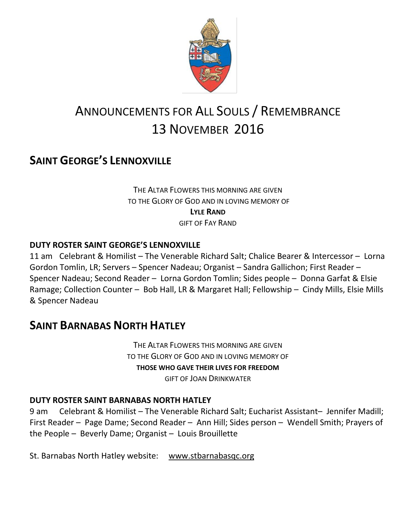

# ANNOUNCEMENTS FOR ALL SOULS / REMEMBRANCE 13 NOVEMBER 2016

## **SAINT GEORGE'S LENNOXVILLE**

THE ALTAR FLOWERS THIS MORNING ARE GIVEN TO THE GLORY OF GOD AND IN LOVING MEMORY OF **LYLE RAND** GIFT OF FAY RAND

#### **DUTY ROSTER SAINT GEORGE'S LENNOXVILLE**

11 am Celebrant & Homilist – The Venerable Richard Salt; Chalice Bearer & Intercessor – Lorna Gordon Tomlin, LR; Servers – Spencer Nadeau; Organist – Sandra Gallichon; First Reader – Spencer Nadeau; Second Reader – Lorna Gordon Tomlin; Sides people – Donna Garfat & Elsie Ramage; Collection Counter – Bob Hall, LR & Margaret Hall; Fellowship – Cindy Mills, Elsie Mills & Spencer Nadeau

### **SAINT BARNABAS NORTH HATLEY**

THE ALTAR FLOWERS THIS MORNING ARE GIVEN TO THE GLORY OF GOD AND IN LOVING MEMORY OF **THOSE WHO GAVE THEIR LIVES FOR FREEDOM** GIFT OF JOAN DRINKWATER

#### **DUTY ROSTER SAINT BARNABAS NORTH HATLEY**

9 am Celebrant & Homilist – The Venerable Richard Salt; Eucharist Assistant– Jennifer Madill; First Reader – Page Dame; Second Reader – Ann Hill; Sides person – Wendell Smith; Prayers of the People – Beverly Dame; Organist – Louis Brouillette

St. Barnabas North Hatley website: [www.stbarnabasqc.org](https://webmail.ubishops.ca/owa/redir.aspx?REF=0vV84iQWktbgou41-Q7x-hpuWc0un25Lg32_cT3pE_mXa77B8czTCAFodHRwOi8vd3d3LnN0YmFybmFiYXNxYy5vcmc.)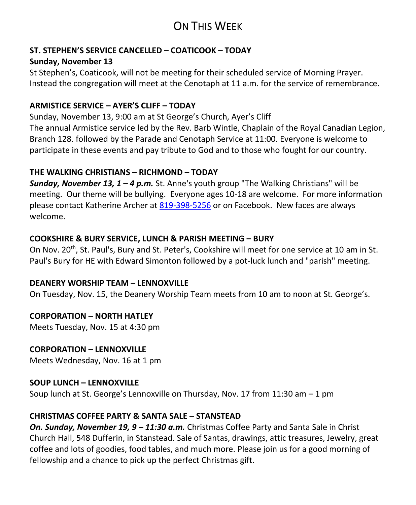## ON THIS WEEK

#### **ST. STEPHEN'S SERVICE CANCELLED – COATICOOK – TODAY**

### **Sunday, November 13**

St Stephen's, Coaticook, will not be meeting for their scheduled service of Morning Prayer. Instead the congregation will meet at the Cenotaph at 11 a.m. for the service of remembrance.

#### **ARMISTICE SERVICE – AYER'S CLIFF – TODAY**

Sunday, November 13, 9:00 am at St George's Church, Ayer's Cliff The annual Armistice service led by the Rev. Barb Wintle, Chaplain of the Royal Canadian Legion, Branch 128. followed by the Parade and Cenotaph Service at 11:00. Everyone is welcome to participate in these events and pay tribute to God and to those who fought for our country.

#### **THE WALKING CHRISTIANS – RICHMOND – TODAY**

*Sunday, November 13, 1 – 4 p.m.* St. Anne's youth group "The Walking Christians" will be meeting. Our theme will be bullying. Everyone ages 10-18 are welcome. For more information please contact Katherine Archer at [819-398-5256](tel:819-398-5256) or on Facebook. New faces are always welcome.

#### **COOKSHIRE & BURY SERVICE, LUNCH & PARISH MEETING – BURY**

On Nov. 20<sup>th</sup>, St. Paul's, Bury and St. Peter's, Cookshire will meet for one service at 10 am in St. Paul's Bury for HE with Edward Simonton followed by a pot-luck lunch and "parish" meeting.

#### **DEANERY WORSHIP TEAM – LENNOXVILLE**

On Tuesday, Nov. 15, the Deanery Worship Team meets from 10 am to noon at St. George's.

#### **CORPORATION – NORTH HATLEY**

Meets Tuesday, Nov. 15 at 4:30 pm

# **CORPORATION – LENNOXVILLE**

Meets Wednesday, Nov. 16 at 1 pm

#### **SOUP LUNCH – LENNOXVILLE**

Soup lunch at St. George's Lennoxville on Thursday, Nov. 17 from 11:30 am – 1 pm

#### **CHRISTMAS COFFEE PARTY & SANTA SALE – STANSTEAD**

*On. Sunday, November 19, 9 – 11:30 a.m.* Christmas Coffee Party and Santa Sale in Christ Church Hall, 548 Dufferin, in Stanstead. Sale of Santas, drawings, attic treasures, Jewelry, great coffee and lots of goodies, food tables, and much more. Please join us for a good morning of fellowship and a chance to pick up the perfect Christmas gift.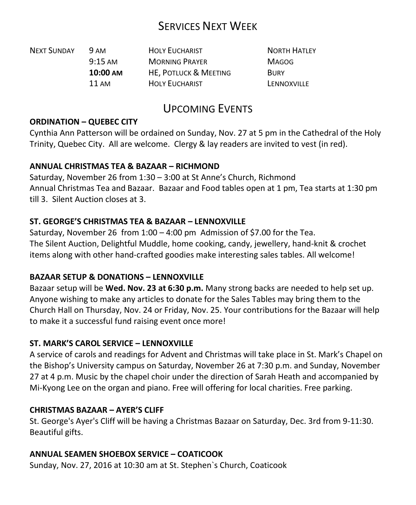## SERVICES NEXT WEEK

| <b>NEXT SUNDAY</b> | <b>9 AM</b>       | <b>HOLY EUCHARIST</b>            | <b>NORTH HATLEY</b> |
|--------------------|-------------------|----------------------------------|---------------------|
|                    | $9:15 \text{ AM}$ | <b>MORNING PRAYER</b>            | <b>MAGOG</b>        |
|                    | 10:00 AM          | <b>HE. POTLUCK &amp; MEETING</b> | <b>BURY</b>         |
|                    | 11 AM             | <b>HOLY EUCHARIST</b>            | LENNOXVILLE         |

## UPCOMING EVENTS

#### **ORDINATION – QUEBEC CITY**

Cynthia Ann Patterson will be ordained on Sunday, Nov. 27 at 5 pm in the Cathedral of the Holy Trinity, Quebec City. All are welcome. Clergy & lay readers are invited to vest (in red).

#### **ANNUAL CHRISTMAS TEA & BAZAAR – RICHMOND**

Saturday, November 26 from 1:30 – 3:00 at St Anne's Church, Richmond Annual Christmas Tea and Bazaar. Bazaar and Food tables open at 1 pm, Tea starts at 1:30 pm till 3. Silent Auction closes at 3.

#### **ST. GEORGE'S CHRISTMAS TEA & BAZAAR – LENNOXVILLE**

Saturday, November 26 from 1:00 – 4:00 pm Admission of \$7.00 for the Tea. The Silent Auction, Delightful Muddle, home cooking, candy, jewellery, hand-knit & crochet items along with other hand-crafted goodies make interesting sales tables. All welcome!

#### **BAZAAR SETUP & DONATIONS – LENNOXVILLE**

Bazaar setup will be **Wed. Nov. 23 at 6:30 p.m.** Many strong backs are needed to help set up. Anyone wishing to make any articles to donate for the Sales Tables may bring them to the Church Hall on Thursday, Nov. 24 or Friday, Nov. 25. Your contributions for the Bazaar will help to make it a successful fund raising event once more!

#### **ST. MARK'S CAROL SERVICE – LENNOXVILLE**

A service of carols and readings for Advent and Christmas will take place in St. Mark's Chapel on the Bishop's University campus on Saturday, November 26 at 7:30 p.m. and Sunday, November 27 at 4 p.m. Music by the chapel choir under the direction of Sarah Heath and accompanied by Mi-Kyong Lee on the organ and piano. Free will offering for local charities. Free parking.

#### **CHRISTMAS BAZAAR – AYER'S CLIFF**

St. George's Ayer's Cliff will be having a Christmas Bazaar on Saturday, Dec. 3rd from 9-11:30. Beautiful gifts.

#### **ANNUAL SEAMEN SHOEBOX SERVICE – COATICOOK**

Sunday, Nov. 27, 2016 at 10:30 am at St. Stephen`s Church, Coaticook